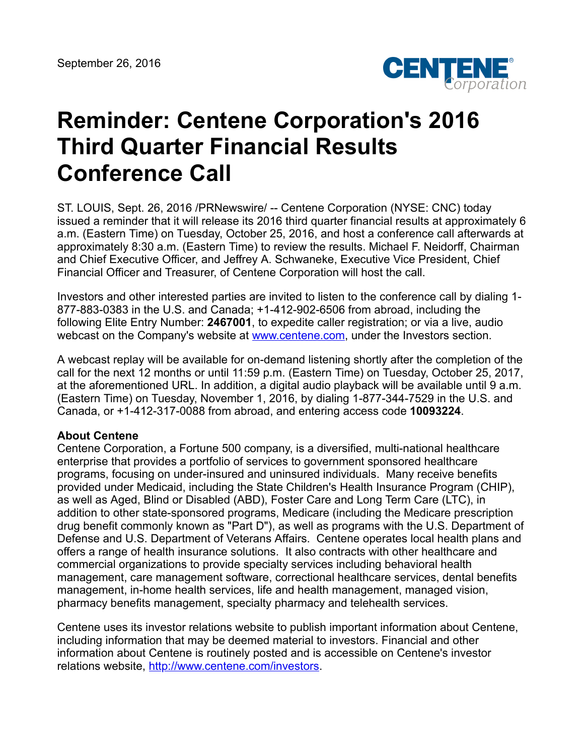

## **Reminder: Centene Corporation's 2016 Third Quarter Financial Results Conference Call**

ST. LOUIS, Sept. 26, 2016 /PRNewswire/ -- Centene Corporation (NYSE: CNC) today issued a reminder that it will release its 2016 third quarter financial results at approximately 6 a.m. (Eastern Time) on Tuesday, October 25, 2016, and host a conference call afterwards at approximately 8:30 a.m. (Eastern Time) to review the results. Michael F. Neidorff, Chairman and Chief Executive Officer, and Jeffrey A. Schwaneke, Executive Vice President, Chief Financial Officer and Treasurer, of Centene Corporation will host the call.

Investors and other interested parties are invited to listen to the conference call by dialing 1- 877-883-0383 in the U.S. and Canada; +1-412-902-6506 from abroad, including the following Elite Entry Number: **2467001**, to expedite caller registration; or via a live, audio webcast on the Company's website at [www.centene.com,](http://www.centene.com/) under the Investors section.

A webcast replay will be available for on-demand listening shortly after the completion of the call for the next 12 months or until 11:59 p.m. (Eastern Time) on Tuesday, October 25, 2017, at the aforementioned URL. In addition, a digital audio playback will be available until 9 a.m. (Eastern Time) on Tuesday, November 1, 2016, by dialing 1-877-344-7529 in the U.S. and Canada, or +1-412-317-0088 from abroad, and entering access code **10093224**.

## **About Centene**

Centene Corporation, a Fortune 500 company, is a diversified, multi-national healthcare enterprise that provides a portfolio of services to government sponsored healthcare programs, focusing on under-insured and uninsured individuals. Many receive benefits provided under Medicaid, including the State Children's Health Insurance Program (CHIP), as well as Aged, Blind or Disabled (ABD), Foster Care and Long Term Care (LTC), in addition to other state-sponsored programs, Medicare (including the Medicare prescription drug benefit commonly known as "Part D"), as well as programs with the U.S. Department of Defense and U.S. Department of Veterans Affairs. Centene operates local health plans and offers a range of health insurance solutions. It also contracts with other healthcare and commercial organizations to provide specialty services including behavioral health management, care management software, correctional healthcare services, dental benefits management, in-home health services, life and health management, managed vision, pharmacy benefits management, specialty pharmacy and telehealth services.

Centene uses its investor relations website to publish important information about Centene, including information that may be deemed material to investors. Financial and other information about Centene is routinely posted and is accessible on Centene's investor relations website, <http://www.centene.com/investors>.